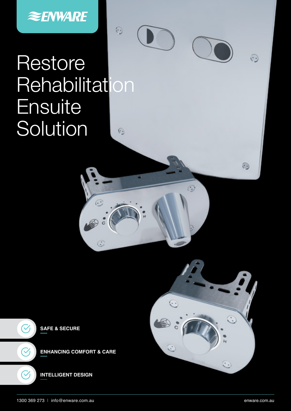

# **Restore Rehabilitation Ensuite** Solution  $\odot$

 $\widehat{\cdot}$ 

 $\odot$ 

 $\odot$ 



 $\odot$ 

**SAFE & SECURE**  $\blacktriangledown$ **ENHANCING COMFORT & CARE**  $\checkmark$ **INTELLIGENT DESIGN**

 $\odot$ 

 $\odot$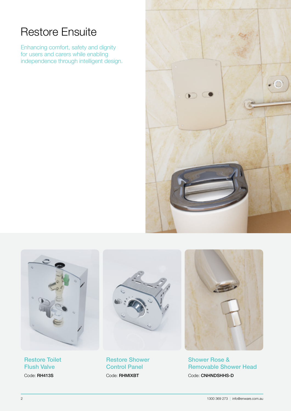# Restore Ensuite

Enhancing comfort, safety and dignity for users and carers while enabling independence through intelligent design.





Restore Toilet Flush Valve

Code: RH413S



Restore Shower Control Panel Code: RHMIXBT



Shower Rose & Removable Shower Head Code: CNHNDSHHS-D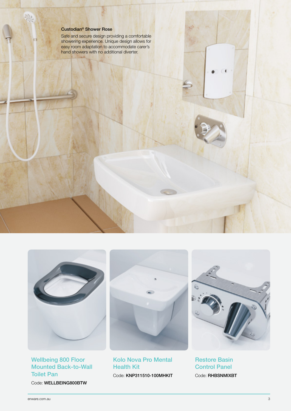#### Custodian® Shower Rose

Safe and secure design providing a comfortable showering experience. Unique design allows for easy room adaptation to accommodate carer's hand showers with no additional diverter.



#### Wellbeing 800 Floor Mounted Back-to-Wall Toilet Pan

Code: WELLBEING800BTW



Kolo Nova Pro Mental Health Kit Code: KNP311510-100MHKIT



Restore Basin Control Panel Code: RHBSNMIXBT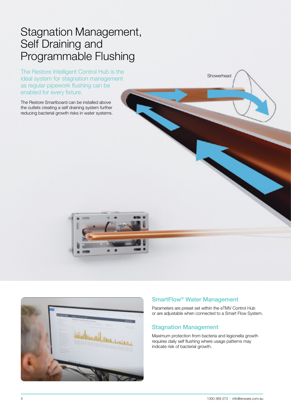### Stagnation Management, Self Draining and Programmable Flushing

The Restore Intelligent Control Hub is the ideal system for stagnation management as regular pipework flushing can be enabled for every fixture.

The Restore Smartboard can be installed above the outlets creating a self draining system further reducing bacterial growth risks in water systems.





#### SmartFlow® Water Management

Parameters are preset set within the eTMV Control Hub or are adjustable when connected to a Smart Flow System.

Showerhead

#### Stagnation Management

Maximum protection from bacteria and legionella growth requires daily self flushing where usage patterns may indicate risk of bacterial growth.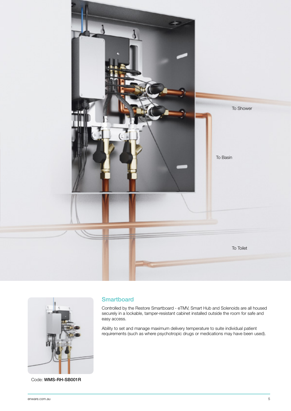



Code: WMS-RH-SB001R

#### **Smartboard**

Controlled by the Restore Smartboard - eTMV, Smart Hub and Solenoids are all housed securely in a lockable, tamper-resistant cabinet installed outside the room for safe and easy access.

Ability to set and manage maximum delivery temperature to suite individual patient requirements (such as where psychotropic drugs or medications may have been used).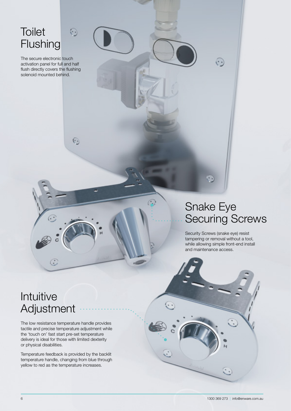### **Toilet Flushing**

The secure electronic touch activation panel for full and half flush directly covers the flushing solenoid mounted behind.

 $\odot$ 

 $\odot$ 

# Snake Eye Securing Screws

 $\odot$ 

Security Screws (snake eye) resist tampering or removal without a tool, while allowing simple front-end install and maintenance access.

# Intuitive Adjustment

 $\odot$ 

The low resistance temperature handle provides tactile and precise temperature adjustment while the 'touch on' fast start pre-set temperature delivery is ideal for those with limited dexterity or physical disabilities.

Temperature feedback is provided by the backlit temperature handle, changing from blue through yellow to red as the temperature increases.

 $\ddot{\cdot}$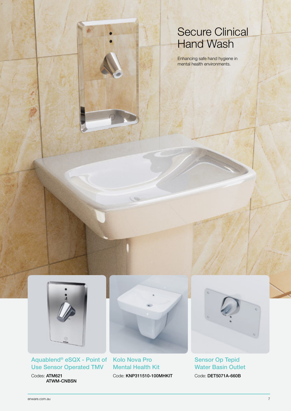### Secure Clinical **Hand Wash**

Enhancing safe hand hygiene in mental health environments.



Aquablend® eSQX - Point of Kolo Nova Pro Use Sensor Operated TMV

Codes: ATM621 ATWM-CNBSN



C

Mental Health Kit Code: KNP311510-100MHKIT



Sensor Op Tepid Water Basin Outlet Code: DET5071A-660B